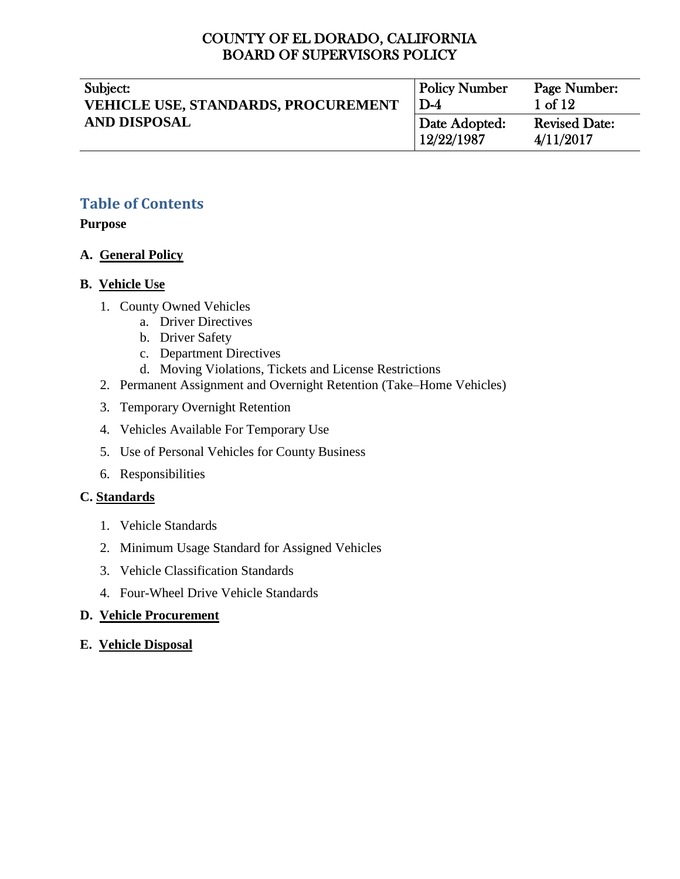| Subject:                                   | <b>Policy Number</b>        | Page Number:         |
|--------------------------------------------|-----------------------------|----------------------|
| <b>VEHICLE USE, STANDARDS, PROCUREMENT</b> | $D-4$                       | $1 \text{ of } 12$   |
| <b>AND DISPOSAL</b>                        | Date Adopted:<br>12/22/1987 | <b>Revised Date:</b> |
|                                            |                             | 4/11/2017            |

# **Table of Contents**

### **Purpose**

### **A. General Policy**

### **B. Vehicle Use**

- 1. County Owned Vehicles
	- a. Driver Directives
	- b. Driver Safety
	- c. Department Directives
	- d. Moving Violations, Tickets and License Restrictions
- 2. Permanent Assignment and Overnight Retention (Take–Home Vehicles)
- 3. Temporary Overnight Retention
- 4. Vehicles Available For Temporary Use
- 5. Use of Personal Vehicles for County Business
- 6. Responsibilities

### **C. Standards**

- 1. Vehicle Standards
- 2. Minimum Usage Standard for Assigned Vehicles
- 3. Vehicle Classification Standards
- 4. Four-Wheel Drive Vehicle Standards

### **D. Vehicle Procurement**

### **E. Vehicle Disposal**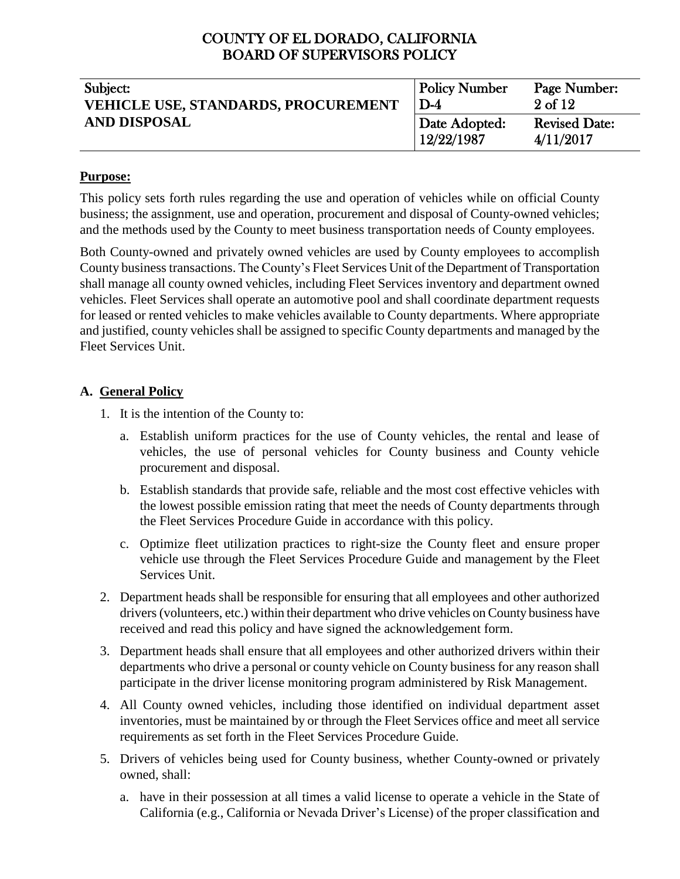| Subject:                                   | <b>Policy Number</b> | Page Number:         |
|--------------------------------------------|----------------------|----------------------|
| <b>VEHICLE USE, STANDARDS, PROCUREMENT</b> | $D-4$                | 2 of 12              |
| <b>AND DISPOSAL</b>                        | Date Adopted:        | <b>Revised Date:</b> |
|                                            | 12/22/1987           | 4/11/2017            |

### **Purpose:**

This policy sets forth rules regarding the use and operation of vehicles while on official County business; the assignment, use and operation, procurement and disposal of County-owned vehicles; and the methods used by the County to meet business transportation needs of County employees.

Both County-owned and privately owned vehicles are used by County employees to accomplish County business transactions. The County's Fleet Services Unit of the Department of Transportation shall manage all county owned vehicles, including Fleet Services inventory and department owned vehicles. Fleet Services shall operate an automotive pool and shall coordinate department requests for leased or rented vehicles to make vehicles available to County departments. Where appropriate and justified, county vehicles shall be assigned to specific County departments and managed by the Fleet Services Unit.

### **A. General Policy**

- 1. It is the intention of the County to:
	- a. Establish uniform practices for the use of County vehicles, the rental and lease of vehicles, the use of personal vehicles for County business and County vehicle procurement and disposal.
	- b. Establish standards that provide safe, reliable and the most cost effective vehicles with the lowest possible emission rating that meet the needs of County departments through the Fleet Services Procedure Guide in accordance with this policy.
	- c. Optimize fleet utilization practices to right-size the County fleet and ensure proper vehicle use through the Fleet Services Procedure Guide and management by the Fleet Services Unit.
- 2. Department heads shall be responsible for ensuring that all employees and other authorized drivers (volunteers, etc.) within their department who drive vehicles on County business have received and read this policy and have signed the acknowledgement form.
- 3. Department heads shall ensure that all employees and other authorized drivers within their departments who drive a personal or county vehicle on County business for any reason shall participate in the driver license monitoring program administered by Risk Management.
- 4. All County owned vehicles, including those identified on individual department asset inventories, must be maintained by or through the Fleet Services office and meet all service requirements as set forth in the Fleet Services Procedure Guide.
- 5. Drivers of vehicles being used for County business, whether County-owned or privately owned, shall:
	- a. have in their possession at all times a valid license to operate a vehicle in the State of California (e.g., California or Nevada Driver's License) of the proper classification and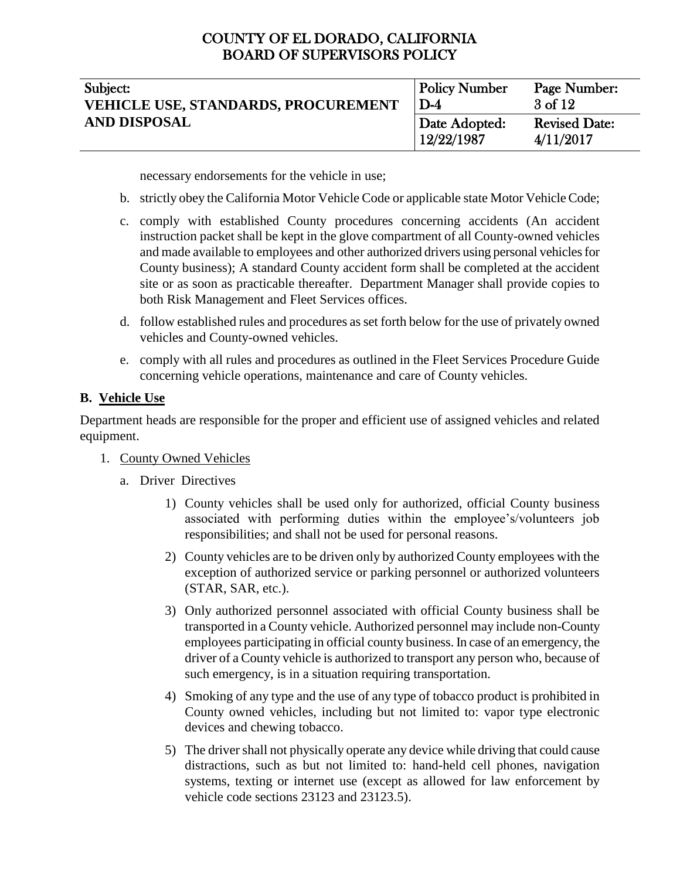| Subject:                                   | <b>Policy Number</b> | Page Number:         |
|--------------------------------------------|----------------------|----------------------|
| <b>VEHICLE USE, STANDARDS, PROCUREMENT</b> | $D-4$                | 3 of 12              |
| <b>AND DISPOSAL</b>                        | Date Adopted:        | <b>Revised Date:</b> |
|                                            | 12/22/1987           | 4/11/2017            |

necessary endorsements for the vehicle in use;

- b. strictly obey the California Motor Vehicle Code or applicable state Motor Vehicle Code;
- c. comply with established County procedures concerning accidents (An accident instruction packet shall be kept in the glove compartment of all County-owned vehicles and made available to employees and other authorized drivers using personal vehicles for County business); A standard County accident form shall be completed at the accident site or as soon as practicable thereafter. Department Manager shall provide copies to both Risk Management and Fleet Services offices.
- d. follow established rules and procedures as set forth below for the use of privately owned vehicles and County-owned vehicles.
- e. comply with all rules and procedures as outlined in the Fleet Services Procedure Guide concerning vehicle operations, maintenance and care of County vehicles.

### **B. Vehicle Use**

Department heads are responsible for the proper and efficient use of assigned vehicles and related equipment.

- 1. County Owned Vehicles
	- a. Driver Directives
		- 1) County vehicles shall be used only for authorized, official County business associated with performing duties within the employee's/volunteers job responsibilities; and shall not be used for personal reasons.
		- 2) County vehicles are to be driven only by authorized County employees with the exception of authorized service or parking personnel or authorized volunteers (STAR, SAR, etc.).
		- 3) Only authorized personnel associated with official County business shall be transported in a County vehicle. Authorized personnel may include non-County employees participating in official county business. In case of an emergency, the driver of a County vehicle is authorized to transport any person who, because of such emergency, is in a situation requiring transportation.
		- 4) Smoking of any type and the use of any type of tobacco product is prohibited in County owned vehicles, including but not limited to: vapor type electronic devices and chewing tobacco.
		- 5) The driver shall not physically operate any device while driving that could cause distractions, such as but not limited to: hand-held cell phones, navigation systems, texting or internet use (except as allowed for law enforcement by vehicle code sections 23123 and 23123.5).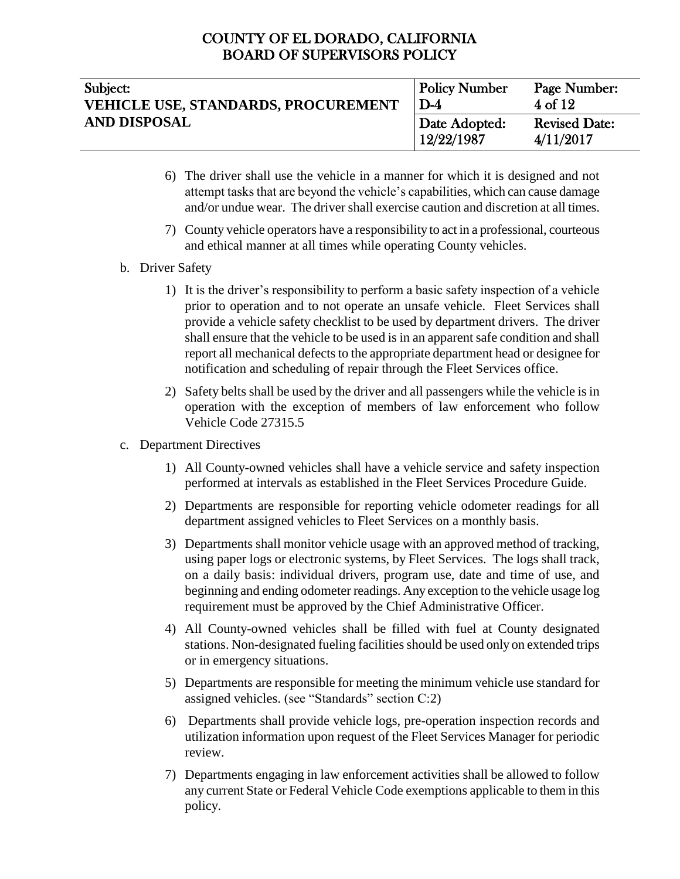| Subject:                                   | <b>Policy Number</b> | Page Number:         |
|--------------------------------------------|----------------------|----------------------|
| <b>VEHICLE USE, STANDARDS, PROCUREMENT</b> | $\mathbf{D-4}$       | 4 of 12              |
| <b>AND DISPOSAL</b>                        | Date Adopted:        | <b>Revised Date:</b> |
|                                            | 12/22/1987           | 4/11/2017            |

- 6) The driver shall use the vehicle in a manner for which it is designed and not attempt tasks that are beyond the vehicle's capabilities, which can cause damage and/or undue wear. The driver shall exercise caution and discretion at all times.
- 7) County vehicle operators have a responsibility to act in a professional, courteous and ethical manner at all times while operating County vehicles.
- b. Driver Safety
	- 1) It is the driver's responsibility to perform a basic safety inspection of a vehicle prior to operation and to not operate an unsafe vehicle. Fleet Services shall provide a vehicle safety checklist to be used by department drivers. The driver shall ensure that the vehicle to be used is in an apparent safe condition and shall report all mechanical defects to the appropriate department head or designee for notification and scheduling of repair through the Fleet Services office.
	- 2) Safety belts shall be used by the driver and all passengers while the vehicle is in operation with the exception of members of law enforcement who follow Vehicle Code 27315.5
- c. Department Directives
	- 1) All County-owned vehicles shall have a vehicle service and safety inspection performed at intervals as established in the Fleet Services Procedure Guide.
	- 2) Departments are responsible for reporting vehicle odometer readings for all department assigned vehicles to Fleet Services on a monthly basis.
	- 3) Departments shall monitor vehicle usage with an approved method of tracking, using paper logs or electronic systems, by Fleet Services. The logs shall track, on a daily basis: individual drivers, program use, date and time of use, and beginning and ending odometer readings. Any exception to the vehicle usage log requirement must be approved by the Chief Administrative Officer.
	- 4) All County-owned vehicles shall be filled with fuel at County designated stations. Non-designated fueling facilities should be used only on extended trips or in emergency situations.
	- 5) Departments are responsible for meeting the minimum vehicle use standard for assigned vehicles. (see "Standards" section C:2)
	- 6) Departments shall provide vehicle logs, pre-operation inspection records and utilization information upon request of the Fleet Services Manager for periodic review.
	- 7) Departments engaging in law enforcement activities shall be allowed to follow any current State or Federal Vehicle Code exemptions applicable to them in this policy.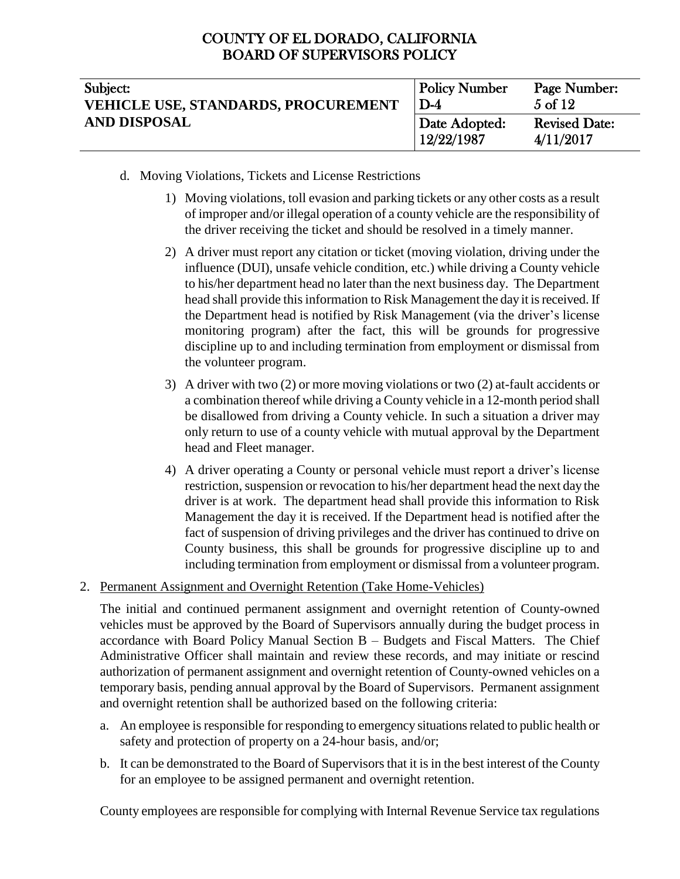| Subject:                                   | <b>Policy Number</b> | Page Number:         |
|--------------------------------------------|----------------------|----------------------|
| <b>VEHICLE USE, STANDARDS, PROCUREMENT</b> | $D-4$                | 5 of 12              |
| <b>AND DISPOSAL</b>                        | Date Adopted:        | <b>Revised Date:</b> |
|                                            | 12/22/1987           | 4/11/2017            |

- d. Moving Violations, Tickets and License Restrictions
	- 1) Moving violations, toll evasion and parking tickets or any other costs as a result of improper and/or illegal operation of a county vehicle are the responsibility of the driver receiving the ticket and should be resolved in a timely manner.
	- 2) A driver must report any citation or ticket (moving violation, driving under the influence (DUI), unsafe vehicle condition, etc.) while driving a County vehicle to his/her department head no later than the next business day. The Department head shall provide this information to Risk Management the day it is received. If the Department head is notified by Risk Management (via the driver's license monitoring program) after the fact, this will be grounds for progressive discipline up to and including termination from employment or dismissal from the volunteer program.
	- 3) A driver with two (2) or more moving violations or two (2) at-fault accidents or a combination thereof while driving a County vehicle in a 12-month period shall be disallowed from driving a County vehicle. In such a situation a driver may only return to use of a county vehicle with mutual approval by the Department head and Fleet manager.
	- 4) A driver operating a County or personal vehicle must report a driver's license restriction, suspension or revocation to his/her department head the next day the driver is at work. The department head shall provide this information to Risk Management the day it is received. If the Department head is notified after the fact of suspension of driving privileges and the driver has continued to drive on County business, this shall be grounds for progressive discipline up to and including termination from employment or dismissal from a volunteer program.

#### 2. Permanent Assignment and Overnight Retention (Take Home-Vehicles)

The initial and continued permanent assignment and overnight retention of County-owned vehicles must be approved by the Board of Supervisors annually during the budget process in accordance with Board Policy Manual Section B – Budgets and Fiscal Matters. The Chief Administrative Officer shall maintain and review these records, and may initiate or rescind authorization of permanent assignment and overnight retention of County-owned vehicles on a temporary basis, pending annual approval by the Board of Supervisors. Permanent assignment and overnight retention shall be authorized based on the following criteria:

- a. An employee is responsible for responding to emergency situations related to public health or safety and protection of property on a 24-hour basis, and/or;
- b. It can be demonstrated to the Board of Supervisors that it is in the best interest of the County for an employee to be assigned permanent and overnight retention.

County employees are responsible for complying with Internal Revenue Service tax regulations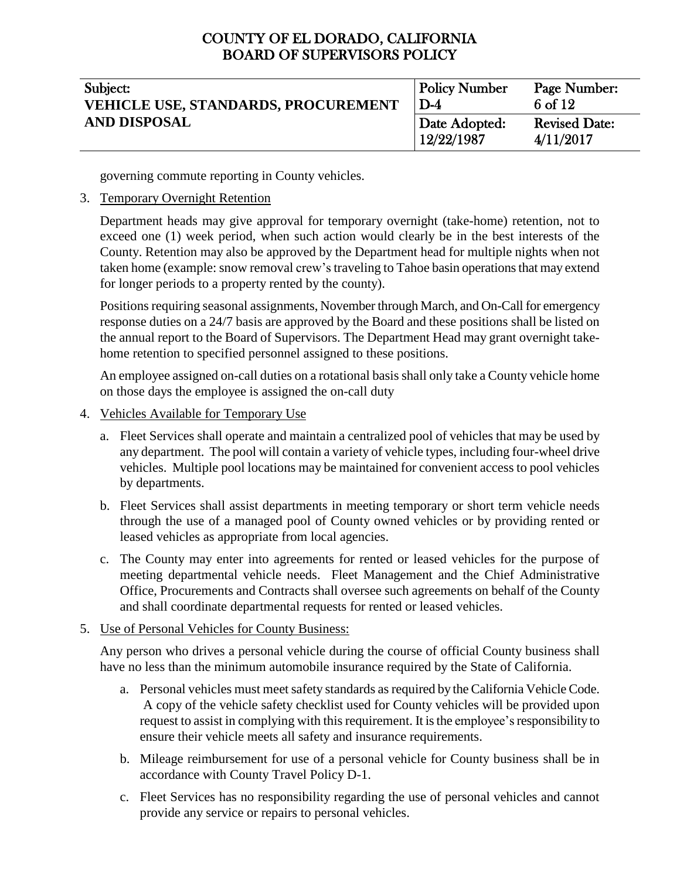| Subject:                                   | <b>Policy Number</b> | Page Number:         |
|--------------------------------------------|----------------------|----------------------|
| <b>VEHICLE USE, STANDARDS, PROCUREMENT</b> | $D-4$                | 6 of 12              |
| <b>AND DISPOSAL</b>                        | Date Adopted:        | <b>Revised Date:</b> |
|                                            | 12/22/1987           | 4/11/2017            |

governing commute reporting in County vehicles.

3. Temporary Overnight Retention

Department heads may give approval for temporary overnight (take-home) retention, not to exceed one (1) week period, when such action would clearly be in the best interests of the County. Retention may also be approved by the Department head for multiple nights when not taken home (example: snow removal crew's traveling to Tahoe basin operations that may extend for longer periods to a property rented by the county).

Positions requiring seasonal assignments, November through March, and On-Call for emergency response duties on a 24/7 basis are approved by the Board and these positions shall be listed on the annual report to the Board of Supervisors. The Department Head may grant overnight takehome retention to specified personnel assigned to these positions.

An employee assigned on-call duties on a rotational basis shall only take a County vehicle home on those days the employee is assigned the on-call duty

- 4. Vehicles Available for Temporary Use
	- a. Fleet Services shall operate and maintain a centralized pool of vehicles that may be used by any department. The pool will contain a variety of vehicle types, including four-wheel drive vehicles. Multiple pool locations may be maintained for convenient access to pool vehicles by departments.
	- b. Fleet Services shall assist departments in meeting temporary or short term vehicle needs through the use of a managed pool of County owned vehicles or by providing rented or leased vehicles as appropriate from local agencies.
	- c. The County may enter into agreements for rented or leased vehicles for the purpose of meeting departmental vehicle needs. Fleet Management and the Chief Administrative Office, Procurements and Contracts shall oversee such agreements on behalf of the County and shall coordinate departmental requests for rented or leased vehicles.

### 5. Use of Personal Vehicles for County Business:

Any person who drives a personal vehicle during the course of official County business shall have no less than the minimum automobile insurance required by the State of California.

- a. Personal vehicles must meet safety standards as required by the California Vehicle Code. A copy of the vehicle safety checklist used for County vehicles will be provided upon request to assist in complying with this requirement. It is the employee's responsibility to ensure their vehicle meets all safety and insurance requirements.
- b. Mileage reimbursement for use of a personal vehicle for County business shall be in accordance with County Travel Policy D-1.
- c. Fleet Services has no responsibility regarding the use of personal vehicles and cannot provide any service or repairs to personal vehicles.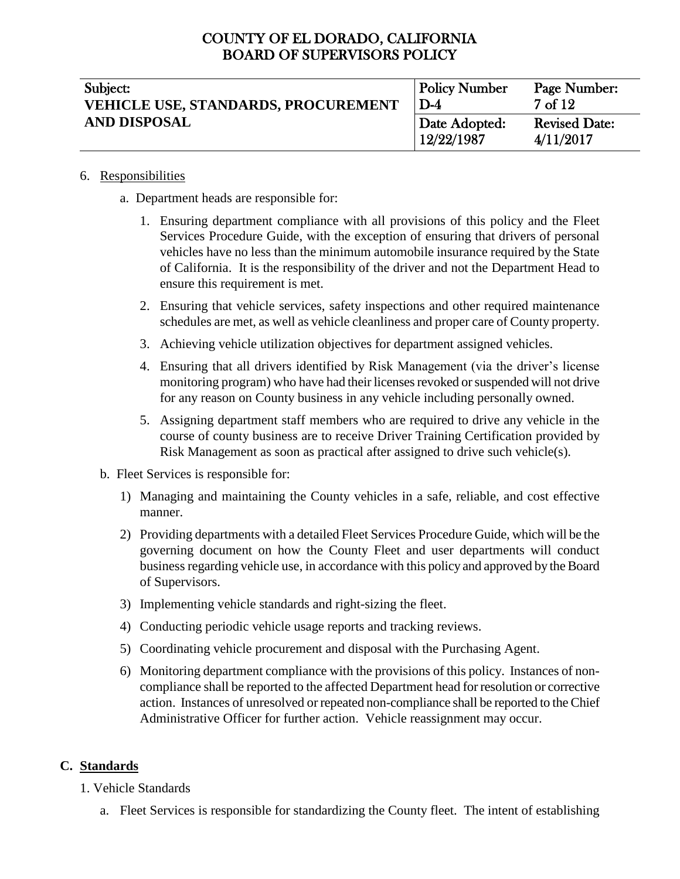| Subject:                                   | <b>Policy Number</b> | Page Number:         |
|--------------------------------------------|----------------------|----------------------|
| <b>VEHICLE USE, STANDARDS, PROCUREMENT</b> | $D-4$                | 7 of 12              |
| <b>AND DISPOSAL</b>                        | Date Adopted:        | <b>Revised Date:</b> |
|                                            | 12/22/1987           | 4/11/2017            |

### 6. Responsibilities

- a. Department heads are responsible for:
	- 1. Ensuring department compliance with all provisions of this policy and the Fleet Services Procedure Guide, with the exception of ensuring that drivers of personal vehicles have no less than the minimum automobile insurance required by the State of California. It is the responsibility of the driver and not the Department Head to ensure this requirement is met.
	- 2. Ensuring that vehicle services, safety inspections and other required maintenance schedules are met, as well as vehicle cleanliness and proper care of County property.
	- 3. Achieving vehicle utilization objectives for department assigned vehicles.
	- 4. Ensuring that all drivers identified by Risk Management (via the driver's license monitoring program) who have had their licenses revoked or suspended will not drive for any reason on County business in any vehicle including personally owned.
	- 5. Assigning department staff members who are required to drive any vehicle in the course of county business are to receive Driver Training Certification provided by Risk Management as soon as practical after assigned to drive such vehicle(s).
- b. Fleet Services is responsible for:
	- 1) Managing and maintaining the County vehicles in a safe, reliable, and cost effective manner.
	- 2) Providing departments with a detailed Fleet Services Procedure Guide, which will be the governing document on how the County Fleet and user departments will conduct business regarding vehicle use, in accordance with this policy and approved by the Board of Supervisors.
	- 3) Implementing vehicle standards and right-sizing the fleet.
	- 4) Conducting periodic vehicle usage reports and tracking reviews.
	- 5) Coordinating vehicle procurement and disposal with the Purchasing Agent.
	- 6) Monitoring department compliance with the provisions of this policy. Instances of noncompliance shall be reported to the affected Department head for resolution or corrective action. Instances of unresolved or repeated non-compliance shall be reported to the Chief Administrative Officer for further action. Vehicle reassignment may occur.

### **C. Standards**

- 1. Vehicle Standards
	- a. Fleet Services is responsible for standardizing the County fleet. The intent of establishing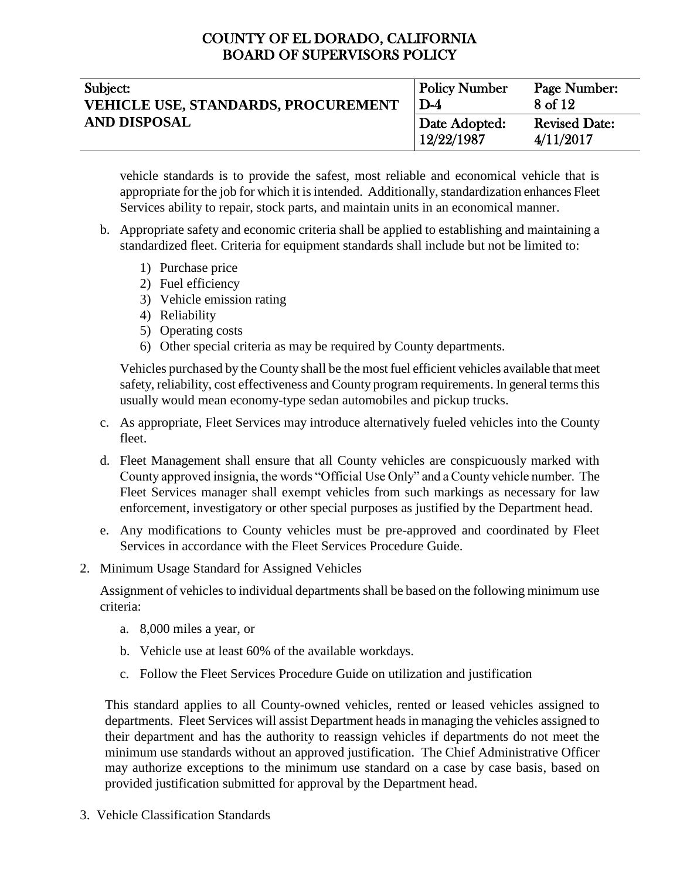| Subject:                                   | <b>Policy Number</b> | Page Number:         |
|--------------------------------------------|----------------------|----------------------|
| <b>VEHICLE USE, STANDARDS, PROCUREMENT</b> | $\mathbf{D-4}$       | 8 of 12              |
| <b>AND DISPOSAL</b>                        | Date Adopted:        | <b>Revised Date:</b> |
|                                            | 12/22/1987           | 4/11/2017            |

vehicle standards is to provide the safest, most reliable and economical vehicle that is appropriate for the job for which it is intended. Additionally, standardization enhances Fleet Services ability to repair, stock parts, and maintain units in an economical manner.

- b. Appropriate safety and economic criteria shall be applied to establishing and maintaining a standardized fleet. Criteria for equipment standards shall include but not be limited to:
	- 1) Purchase price
	- 2) Fuel efficiency
	- 3) Vehicle emission rating
	- 4) Reliability
	- 5) Operating costs
	- 6) Other special criteria as may be required by County departments.

Vehicles purchased by the County shall be the most fuel efficient vehicles available that meet safety, reliability, cost effectiveness and County program requirements. In general terms this usually would mean economy-type sedan automobiles and pickup trucks.

- c. As appropriate, Fleet Services may introduce alternatively fueled vehicles into the County fleet.
- d. Fleet Management shall ensure that all County vehicles are conspicuously marked with County approved insignia, the words "Official Use Only" and a County vehicle number. The Fleet Services manager shall exempt vehicles from such markings as necessary for law enforcement, investigatory or other special purposes as justified by the Department head.
- e. Any modifications to County vehicles must be pre-approved and coordinated by Fleet Services in accordance with the Fleet Services Procedure Guide.
- 2. Minimum Usage Standard for Assigned Vehicles

Assignment of vehicles to individual departments shall be based on the following minimum use criteria:

- a. 8,000 miles a year, or
- b. Vehicle use at least 60% of the available workdays.
- c. Follow the Fleet Services Procedure Guide on utilization and justification

This standard applies to all County-owned vehicles, rented or leased vehicles assigned to departments. Fleet Services will assist Department heads in managing the vehicles assigned to their department and has the authority to reassign vehicles if departments do not meet the minimum use standards without an approved justification. The Chief Administrative Officer may authorize exceptions to the minimum use standard on a case by case basis, based on provided justification submitted for approval by the Department head.

3. Vehicle Classification Standards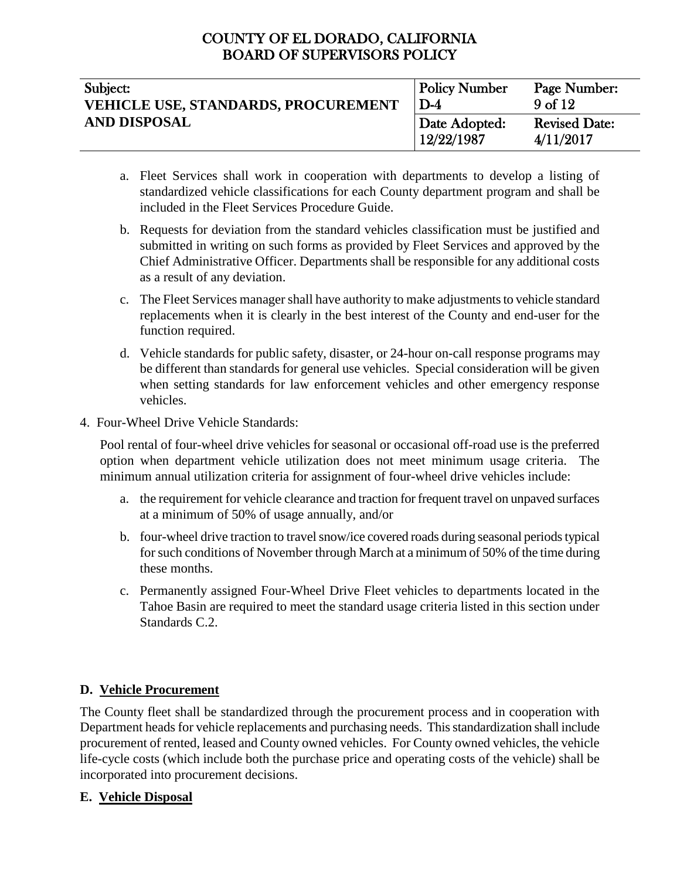| Subject:                                   | <b>Policy Number</b> | Page Number:         |
|--------------------------------------------|----------------------|----------------------|
| <b>VEHICLE USE, STANDARDS, PROCUREMENT</b> | $\mathbf{D-4}$       | 9 of 12              |
| <b>AND DISPOSAL</b>                        | Date Adopted:        | <b>Revised Date:</b> |
|                                            | 12/22/1987           | 4/11/2017            |

- a. Fleet Services shall work in cooperation with departments to develop a listing of standardized vehicle classifications for each County department program and shall be included in the Fleet Services Procedure Guide.
- b. Requests for deviation from the standard vehicles classification must be justified and submitted in writing on such forms as provided by Fleet Services and approved by the Chief Administrative Officer. Departments shall be responsible for any additional costs as a result of any deviation.
- c. The Fleet Services manager shall have authority to make adjustments to vehicle standard replacements when it is clearly in the best interest of the County and end-user for the function required.
- d. Vehicle standards for public safety, disaster, or 24-hour on-call response programs may be different than standards for general use vehicles. Special consideration will be given when setting standards for law enforcement vehicles and other emergency response vehicles.
- 4. Four-Wheel Drive Vehicle Standards:

Pool rental of four-wheel drive vehicles for seasonal or occasional off-road use is the preferred option when department vehicle utilization does not meet minimum usage criteria. The minimum annual utilization criteria for assignment of four-wheel drive vehicles include:

- a. the requirement for vehicle clearance and traction for frequent travel on unpaved surfaces at a minimum of 50% of usage annually, and/or
- b. four-wheel drive traction to travel snow/ice covered roads during seasonal periods typical for such conditions of November through March at a minimum of 50% of the time during these months.
- c. Permanently assigned Four-Wheel Drive Fleet vehicles to departments located in the Tahoe Basin are required to meet the standard usage criteria listed in this section under Standards C.2.

# **D. Vehicle Procurement**

The County fleet shall be standardized through the procurement process and in cooperation with Department heads for vehicle replacements and purchasing needs. This standardization shall include procurement of rented, leased and County owned vehicles. For County owned vehicles, the vehicle life-cycle costs (which include both the purchase price and operating costs of the vehicle) shall be incorporated into procurement decisions.

### **E. Vehicle Disposal**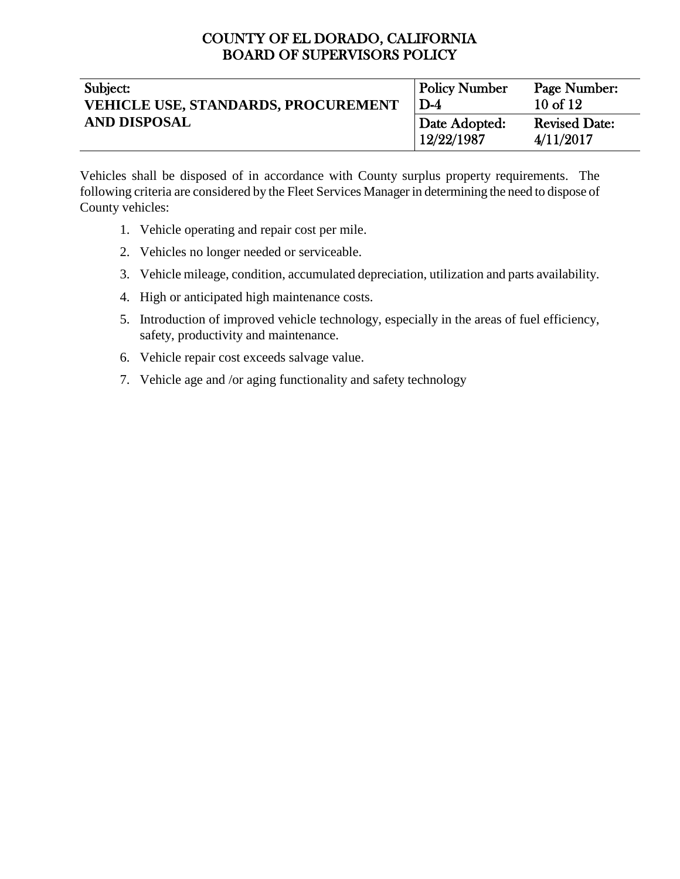| Subject:                                   | <b>Policy Number</b> | Page Number:         |
|--------------------------------------------|----------------------|----------------------|
| <b>VEHICLE USE, STANDARDS, PROCUREMENT</b> | $D-4$                | $10$ of $12$         |
| <b>AND DISPOSAL</b>                        | Date Adopted:        | <b>Revised Date:</b> |
|                                            | 12/22/1987           | 4/11/2017            |

Vehicles shall be disposed of in accordance with County surplus property requirements. The following criteria are considered by the Fleet Services Manager in determining the need to dispose of County vehicles:

- 1. Vehicle operating and repair cost per mile.
- 2. Vehicles no longer needed or serviceable.
- 3. Vehicle mileage, condition, accumulated depreciation, utilization and parts availability.
- 4. High or anticipated high maintenance costs.
- 5. Introduction of improved vehicle technology, especially in the areas of fuel efficiency, safety, productivity and maintenance.
- 6. Vehicle repair cost exceeds salvage value.
- 7. Vehicle age and /or aging functionality and safety technology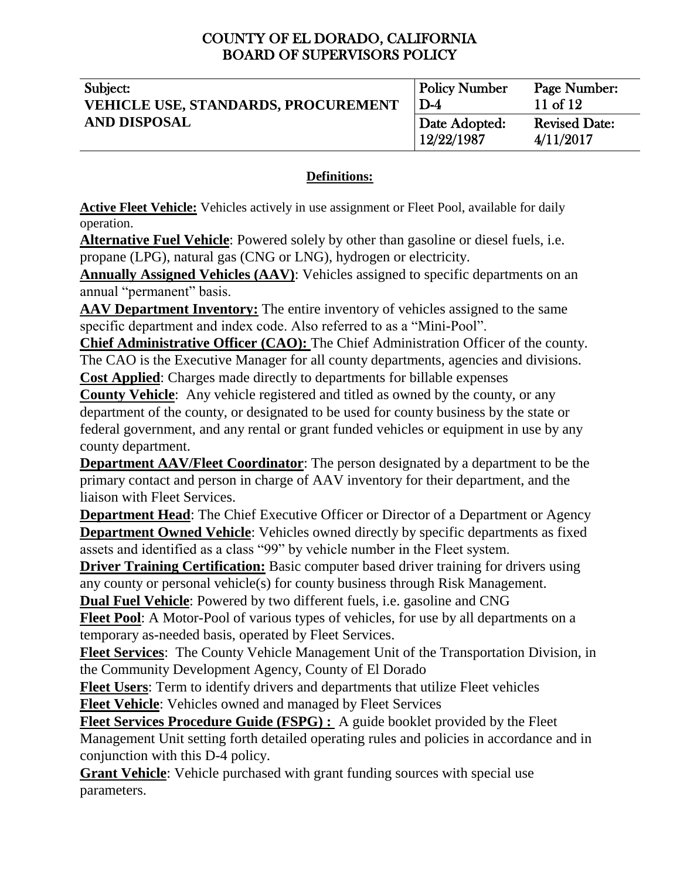| Subject:                                   | <b>Policy Number</b> | Page Number:         |
|--------------------------------------------|----------------------|----------------------|
| <b>VEHICLE USE, STANDARDS, PROCUREMENT</b> | $D-4$                | 11 of $12$           |
| <b>AND DISPOSAL</b>                        | Date Adopted:        | <b>Revised Date:</b> |
|                                            | 12/22/1987           | 4/11/2017            |

### **Definitions:**

**Active Fleet Vehicle:** Vehicles actively in use assignment or Fleet Pool, available for daily operation.

**Alternative Fuel Vehicle**: Powered solely by other than gasoline or diesel fuels, i.e. propane (LPG), natural gas (CNG or LNG), hydrogen or electricity.

**Annually Assigned Vehicles (AAV)**: Vehicles assigned to specific departments on an annual "permanent" basis.

**AAV Department Inventory:** The entire inventory of vehicles assigned to the same specific department and index code. Also referred to as a "Mini-Pool".

**Chief Administrative Officer (CAO):** The Chief Administration Officer of the county. The CAO is the Executive Manager for all county departments, agencies and divisions.

**Cost Applied**: Charges made directly to departments for billable expenses

**County Vehicle**: Any vehicle registered and titled as owned by the county, or any department of the county, or designated to be used for county business by the state or federal government, and any rental or grant funded vehicles or equipment in use by any county department.

**Department AAV/Fleet Coordinator**: The person designated by a department to be the primary contact and person in charge of AAV inventory for their department, and the liaison with Fleet Services.

**Department Head:** The Chief Executive Officer or Director of a Department or Agency **Department Owned Vehicle**: Vehicles owned directly by specific departments as fixed assets and identified as a class "99" by vehicle number in the Fleet system.

**Driver Training Certification:** Basic computer based driver training for drivers using any county or personal vehicle(s) for county business through Risk Management.

**Dual Fuel Vehicle**: Powered by two different fuels, i.e. gasoline and CNG

**Fleet Pool**: A Motor-Pool of various types of vehicles, for use by all departments on a temporary as-needed basis, operated by Fleet Services.

**Fleet Services**: The County Vehicle Management Unit of the Transportation Division, in the Community Development Agency, County of El Dorado

**Fleet Users**: Term to identify drivers and departments that utilize Fleet vehicles **Fleet Vehicle**: Vehicles owned and managed by Fleet Services

**Fleet Services Procedure Guide (FSPG) :** A guide booklet provided by the Fleet Management Unit setting forth detailed operating rules and policies in accordance and in conjunction with this D-4 policy.

**Grant Vehicle**: Vehicle purchased with grant funding sources with special use parameters.